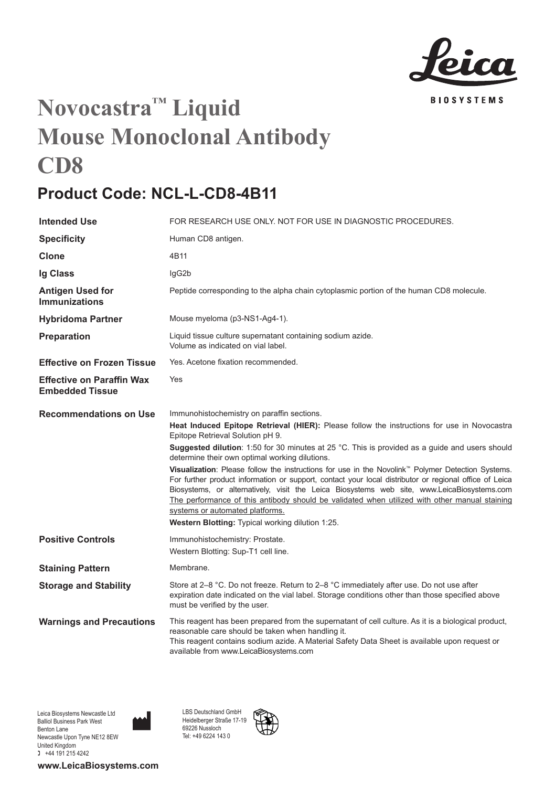

## **Novocastra™ Liquid Mouse Monoclonal Antibody CD8**

## **Product Code: NCL-L-CD8-4B11**

| <b>Intended Use</b>                                        | FOR RESEARCH USE ONLY. NOT FOR USE IN DIAGNOSTIC PROCEDURES.                                                                                                                                                                                                                                                                                                                                                                                                                                                                                                                                                                                                                                                                                                                                                                                       |
|------------------------------------------------------------|----------------------------------------------------------------------------------------------------------------------------------------------------------------------------------------------------------------------------------------------------------------------------------------------------------------------------------------------------------------------------------------------------------------------------------------------------------------------------------------------------------------------------------------------------------------------------------------------------------------------------------------------------------------------------------------------------------------------------------------------------------------------------------------------------------------------------------------------------|
| <b>Specificity</b>                                         | Human CD8 antigen.                                                                                                                                                                                                                                                                                                                                                                                                                                                                                                                                                                                                                                                                                                                                                                                                                                 |
| Clone                                                      | 4B11                                                                                                                                                                                                                                                                                                                                                                                                                                                                                                                                                                                                                                                                                                                                                                                                                                               |
| Ig Class                                                   | lgG2b                                                                                                                                                                                                                                                                                                                                                                                                                                                                                                                                                                                                                                                                                                                                                                                                                                              |
| <b>Antigen Used for</b><br><b>Immunizations</b>            | Peptide corresponding to the alpha chain cytoplasmic portion of the human CD8 molecule.                                                                                                                                                                                                                                                                                                                                                                                                                                                                                                                                                                                                                                                                                                                                                            |
| <b>Hybridoma Partner</b>                                   | Mouse myeloma (p3-NS1-Ag4-1).                                                                                                                                                                                                                                                                                                                                                                                                                                                                                                                                                                                                                                                                                                                                                                                                                      |
| Preparation                                                | Liquid tissue culture supernatant containing sodium azide.<br>Volume as indicated on vial label.                                                                                                                                                                                                                                                                                                                                                                                                                                                                                                                                                                                                                                                                                                                                                   |
| <b>Effective on Frozen Tissue</b>                          | Yes. Acetone fixation recommended.                                                                                                                                                                                                                                                                                                                                                                                                                                                                                                                                                                                                                                                                                                                                                                                                                 |
| <b>Effective on Paraffin Wax</b><br><b>Embedded Tissue</b> | Yes                                                                                                                                                                                                                                                                                                                                                                                                                                                                                                                                                                                                                                                                                                                                                                                                                                                |
| <b>Recommendations on Use</b>                              | Immunohistochemistry on paraffin sections.<br>Heat Induced Epitope Retrieval (HIER): Please follow the instructions for use in Novocastra<br>Epitope Retrieval Solution pH 9.<br>Suggested dilution: 1:50 for 30 minutes at 25 °C. This is provided as a guide and users should<br>determine their own optimal working dilutions.<br>Visualization: Please follow the instructions for use in the Novolink <sup>™</sup> Polymer Detection Systems.<br>For further product information or support, contact your local distributor or regional office of Leica<br>Biosystems, or alternatively, visit the Leica Biosystems web site, www.LeicaBiosystems.com<br>The performance of this antibody should be validated when utilized with other manual staining<br>systems or automated platforms.<br>Western Blotting: Typical working dilution 1:25. |
| <b>Positive Controls</b>                                   | Immunohistochemistry: Prostate.<br>Western Blotting: Sup-T1 cell line.                                                                                                                                                                                                                                                                                                                                                                                                                                                                                                                                                                                                                                                                                                                                                                             |
| <b>Staining Pattern</b>                                    | Membrane.                                                                                                                                                                                                                                                                                                                                                                                                                                                                                                                                                                                                                                                                                                                                                                                                                                          |
| <b>Storage and Stability</b>                               | Store at 2-8 °C. Do not freeze. Return to 2-8 °C immediately after use. Do not use after<br>expiration date indicated on the vial label. Storage conditions other than those specified above<br>must be verified by the user.                                                                                                                                                                                                                                                                                                                                                                                                                                                                                                                                                                                                                      |
| <b>Warnings and Precautions</b>                            | This reagent has been prepared from the supernatant of cell culture. As it is a biological product,<br>reasonable care should be taken when handling it.<br>This reagent contains sodium azide. A Material Safety Data Sheet is available upon request or<br>available from www.LeicaBiosystems.com                                                                                                                                                                                                                                                                                                                                                                                                                                                                                                                                                |

**www.LeicaBiosystems.com**